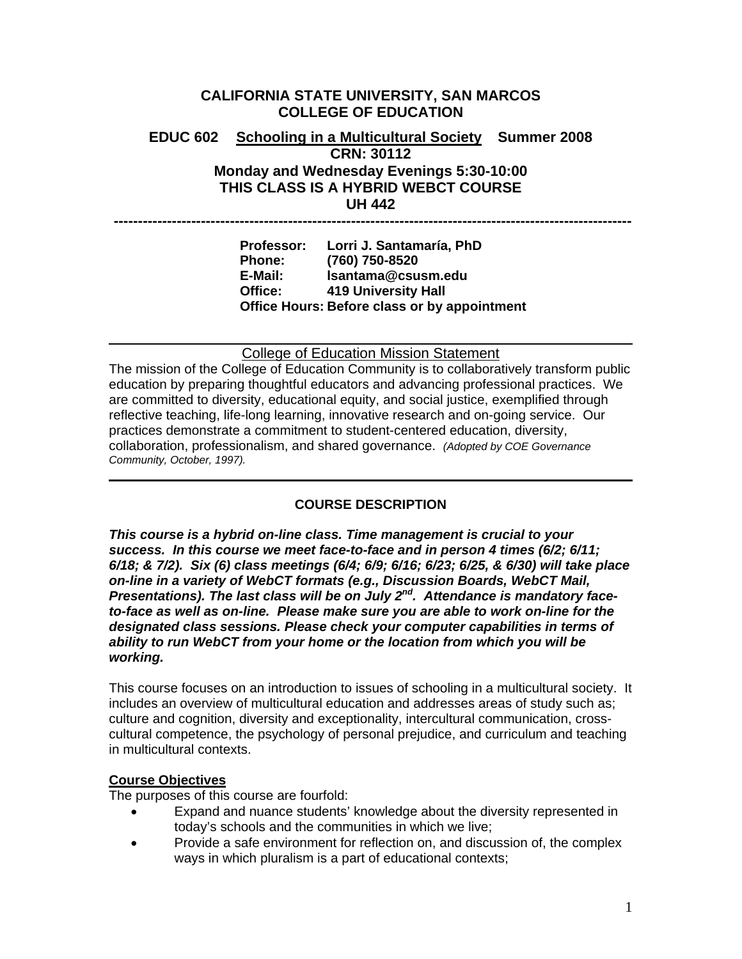# **CALIFORNIA STATE UNIVERSITY, SAN MARCOS COLLEGE OF EDUCATION EDUC 602 Schooling in a Multicultural Society Summer 2008 CRN: 30112 Monday and Wednesday Evenings 5:30-10:00 THIS CLASS IS A HYBRID WEBCT COURSE UH 442 -----------------------------------------------------------------------------------------------------------**

**Professor: Lorri J. Santamaría, PhD Phone: (760) 750-8520 E-Mail: lsantama@csusm.edu Office: 419 University Hall Office Hours: Before class or by appointment** 

College of Education Mission Statement

The mission of the College of Education Community is to collaboratively transform public education by preparing thoughtful educators and advancing professional practices. We are committed to diversity, educational equity, and social justice, exemplified through reflective teaching, life-long learning, innovative research and on-going service. Our practices demonstrate a commitment to student-centered education, diversity, collaboration, professionalism, and shared governance. *(Adopted by COE Governance Community, October, 1997).* 

## **COURSE DESCRIPTION**

*This course is a hybrid on-line class. Time management is crucial to your success. In this course we meet face-to-face and in person 4 times (6/2; 6/11; 6/18; & 7/2). Six (6) class meetings (6/4; 6/9; 6/16; 6/23; 6/25, & 6/30) will take place on-line in a variety of WebCT formats (e.g., Discussion Boards, WebCT Mail, Presentations). The last class will be on July 2nd. Attendance is mandatory faceto-face as well as on-line. Please make sure you are able to work on-line for the designated class sessions. Please check your computer capabilities in terms of ability to run WebCT from your home or the location from which you will be working.* 

This course focuses on an introduction to issues of schooling in a multicultural society. It includes an overview of multicultural education and addresses areas of study such as; culture and cognition, diversity and exceptionality, intercultural communication, crosscultural competence, the psychology of personal prejudice, and curriculum and teaching in multicultural contexts.

### **Course Objectives**

The purposes of this course are fourfold:

- Expand and nuance students' knowledge about the diversity represented in today's schools and the communities in which we live;
- Provide a safe environment for reflection on, and discussion of, the complex ways in which pluralism is a part of educational contexts;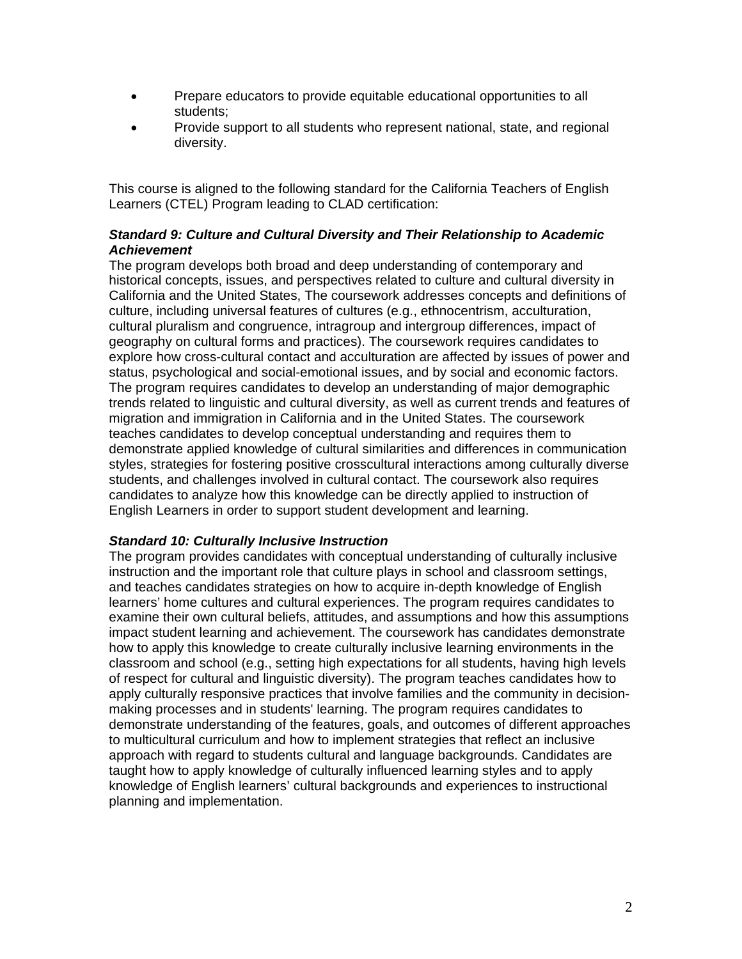- Prepare educators to provide equitable educational opportunities to all students;
- Provide support to all students who represent national, state, and regional diversity.

This course is aligned to the following standard for the California Teachers of English Learners (CTEL) Program leading to CLAD certification:

### *Standard 9: Culture and Cultural Diversity and Their Relationship to Academic Achievement*

The program develops both broad and deep understanding of contemporary and historical concepts, issues, and perspectives related to culture and cultural diversity in California and the United States, The coursework addresses concepts and definitions of culture, including universal features of cultures (e.g., ethnocentrism, acculturation, cultural pluralism and congruence, intragroup and intergroup differences, impact of geography on cultural forms and practices). The coursework requires candidates to explore how cross-cultural contact and acculturation are affected by issues of power and status, psychological and social-emotional issues, and by social and economic factors. The program requires candidates to develop an understanding of major demographic trends related to linguistic and cultural diversity, as well as current trends and features of migration and immigration in California and in the United States. The coursework teaches candidates to develop conceptual understanding and requires them to demonstrate applied knowledge of cultural similarities and differences in communication styles, strategies for fostering positive crosscultural interactions among culturally diverse students, and challenges involved in cultural contact. The coursework also requires candidates to analyze how this knowledge can be directly applied to instruction of English Learners in order to support student development and learning.

### *Standard 10: Culturally Inclusive Instruction*

The program provides candidates with conceptual understanding of culturally inclusive instruction and the important role that culture plays in school and classroom settings, and teaches candidates strategies on how to acquire in-depth knowledge of English learners' home cultures and cultural experiences. The program requires candidates to examine their own cultural beliefs, attitudes, and assumptions and how this assumptions impact student learning and achievement. The coursework has candidates demonstrate how to apply this knowledge to create culturally inclusive learning environments in the classroom and school (e.g., setting high expectations for all students, having high levels of respect for cultural and linguistic diversity). The program teaches candidates how to apply culturally responsive practices that involve families and the community in decisionmaking processes and in students' learning. The program requires candidates to demonstrate understanding of the features, goals, and outcomes of different approaches to multicultural curriculum and how to implement strategies that reflect an inclusive approach with regard to students cultural and language backgrounds. Candidates are taught how to apply knowledge of culturally influenced learning styles and to apply knowledge of English learners' cultural backgrounds and experiences to instructional planning and implementation.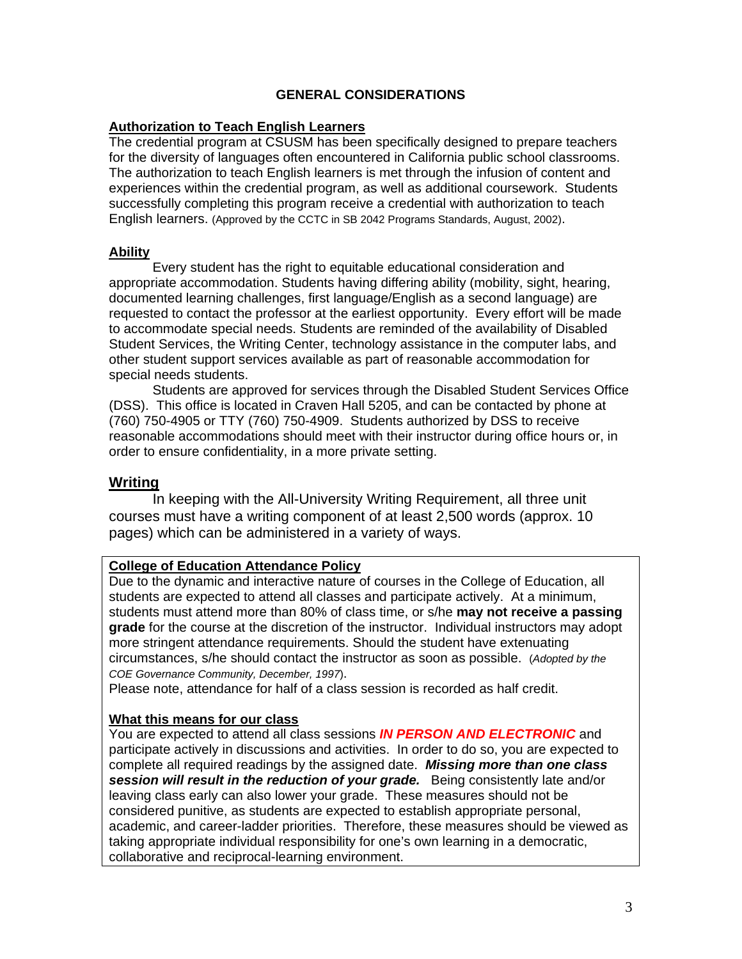### **GENERAL CONSIDERATIONS**

#### **Authorization to Teach English Learners**

The credential program at CSUSM has been specifically designed to prepare teachers for the diversity of languages often encountered in California public school classrooms. The authorization to teach English learners is met through the infusion of content and experiences within the credential program, as well as additional coursework. Students successfully completing this program receive a credential with authorization to teach English learners. (Approved by the CCTC in SB 2042 Programs Standards, August, 2002).

#### **Ability**

Every student has the right to equitable educational consideration and appropriate accommodation. Students having differing ability (mobility, sight, hearing, documented learning challenges, first language/English as a second language) are requested to contact the professor at the earliest opportunity. Every effort will be made to accommodate special needs. Students are reminded of the availability of Disabled Student Services, the Writing Center, technology assistance in the computer labs, and other student support services available as part of reasonable accommodation for special needs students.

Students are approved for services through the Disabled Student Services Office (DSS). This office is located in Craven Hall 5205, and can be contacted by phone at (760) 750-4905 or TTY (760) 750-4909. Students authorized by DSS to receive reasonable accommodations should meet with their instructor during office hours or, in order to ensure confidentiality, in a more private setting.

### **Writing**

In keeping with the All-University Writing Requirement, all three unit courses must have a writing component of at least 2,500 words (approx. 10 pages) which can be administered in a variety of ways.

#### **College of Education Attendance Policy**

Due to the dynamic and interactive nature of courses in the College of Education, all students are expected to attend all classes and participate actively. At a minimum, students must attend more than 80% of class time, or s/he **may not receive a passing grade** for the course at the discretion of the instructor. Individual instructors may adopt more stringent attendance requirements. Should the student have extenuating circumstances, s/he should contact the instructor as soon as possible. (*Adopted by the COE Governance Community, December, 1997*).

Please note, attendance for half of a class session is recorded as half credit.

### **What this means for our class**

You are expected to attend all class sessions *IN PERSON AND ELECTRONIC* and participate actively in discussions and activities. In order to do so, you are expected to complete all required readings by the assigned date. *Missing more than one class session will result in the reduction of your grade.* Being consistently late and/or leaving class early can also lower your grade. These measures should not be considered punitive, as students are expected to establish appropriate personal, academic, and career-ladder priorities. Therefore, these measures should be viewed as taking appropriate individual responsibility for one's own learning in a democratic, collaborative and reciprocal-learning environment.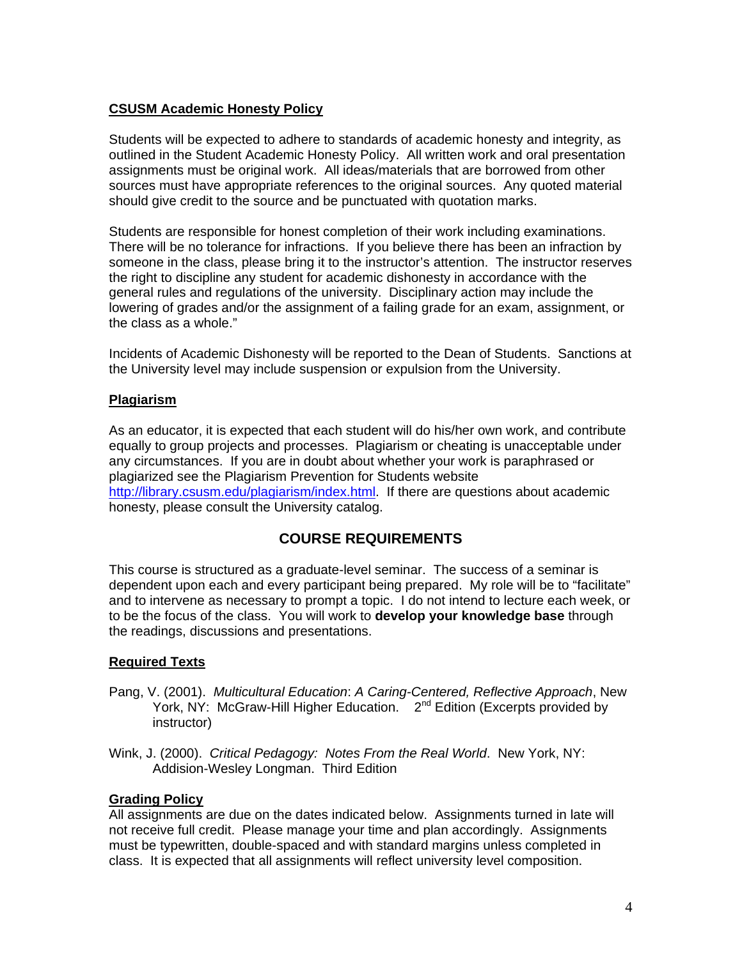### **CSUSM Academic Honesty Policy**

Students will be expected to adhere to standards of academic honesty and integrity, as outlined in the Student Academic Honesty Policy. All written work and oral presentation assignments must be original work. All ideas/materials that are borrowed from other sources must have appropriate references to the original sources. Any quoted material should give credit to the source and be punctuated with quotation marks.

Students are responsible for honest completion of their work including examinations. There will be no tolerance for infractions. If you believe there has been an infraction by someone in the class, please bring it to the instructor's attention. The instructor reserves the right to discipline any student for academic dishonesty in accordance with the general rules and regulations of the university. Disciplinary action may include the lowering of grades and/or the assignment of a failing grade for an exam, assignment, or the class as a whole."

Incidents of Academic Dishonesty will be reported to the Dean of Students. Sanctions at the University level may include suspension or expulsion from the University.

### **Plagiarism**

As an educator, it is expected that each student will do his/her own work, and contribute equally to group projects and processes. Plagiarism or cheating is unacceptable under any circumstances. If you are in doubt about whether your work is paraphrased or plagiarized see the Plagiarism Prevention for Students website http://library.csusm.edu/plagiarism/index.html. If there are questions about academic honesty, please consult the University catalog.

## **COURSE REQUIREMENTS**

This course is structured as a graduate-level seminar. The success of a seminar is dependent upon each and every participant being prepared. My role will be to "facilitate" and to intervene as necessary to prompt a topic. I do not intend to lecture each week, or to be the focus of the class. You will work to **develop your knowledge base** through the readings, discussions and presentations.

## **Required Texts**

- Pang, V. (2001). *Multicultural Education*: *A Caring-Centered, Reflective Approach*, New York, NY: McGraw-Hill Higher Education. 2<sup>nd</sup> Edition (Excerpts provided by instructor)
- Wink, J. (2000). *Critical Pedagogy: Notes From the Real World*. New York, NY: Addision-Wesley Longman. Third Edition

### **Grading Policy**

All assignments are due on the dates indicated below. Assignments turned in late will not receive full credit. Please manage your time and plan accordingly. Assignments must be typewritten, double-spaced and with standard margins unless completed in class. It is expected that all assignments will reflect university level composition.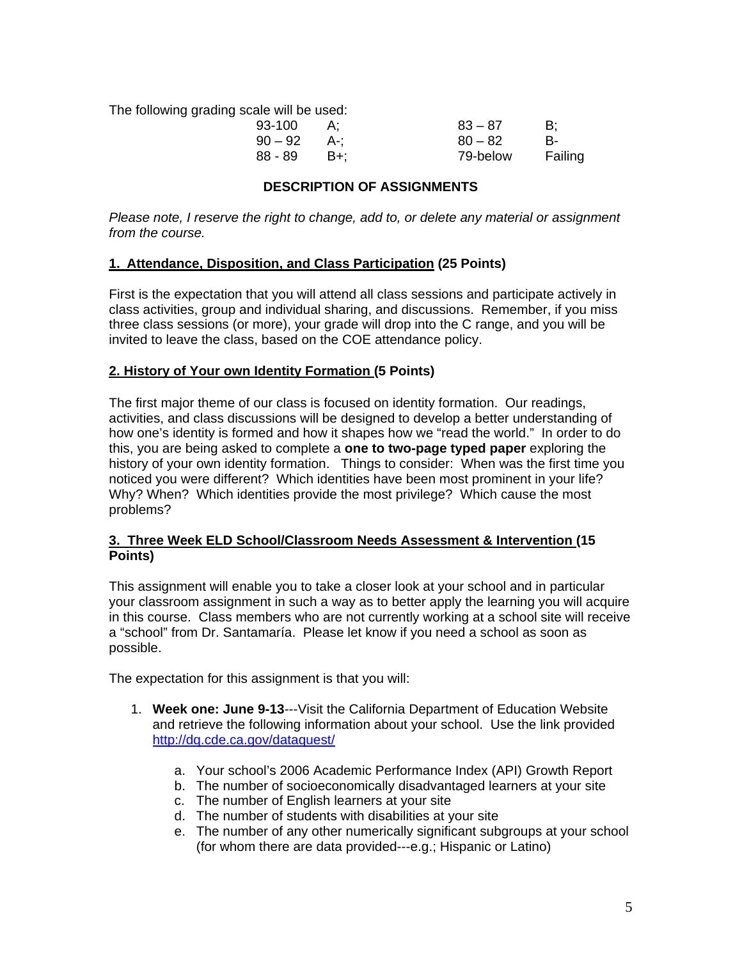The following grading scale will be used:

| 93-100    |       | $83 - 87$ | B:      |
|-----------|-------|-----------|---------|
| $90 - 92$ | . A-: | $80 - 82$ | B-      |
| 88 - 89   | – B+: | 79-below  | Failing |

### **DESCRIPTION OF ASSIGNMENTS**

*Please note, I reserve the right to change, add to, or delete any material or assignment from the course.* 

### **1. Attendance, Disposition, and Class Participation (25 Points)**

First is the expectation that you will attend all class sessions and participate actively in class activities, group and individual sharing, and discussions. Remember, if you miss three class sessions (or more), your grade will drop into the C range, and you will be invited to leave the class, based on the COE attendance policy.

### **2. History of Your own Identity Formation (5 Points)**

The first major theme of our class is focused on identity formation. Our readings, activities, and class discussions will be designed to develop a better understanding of how one's identity is formed and how it shapes how we "read the world." In order to do this, you are being asked to complete a **one to two-page typed paper** exploring the history of your own identity formation. Things to consider: When was the first time you noticed you were different? Which identities have been most prominent in your life? Why? When? Which identities provide the most privilege? Which cause the most problems?

### **3. Three Week ELD School/Classroom Needs Assessment & Intervention (15 Points)**

This assignment will enable you to take a closer look at your school and in particular your classroom assignment in such a way as to better apply the learning you will acquire in this course. Class members who are not currently working at a school site will receive a "school" from Dr. Santamaría. Please let know if you need a school as soon as possible.

The expectation for this assignment is that you will:

- 1. **Week one: June 9-13**---Visit the California Department of Education Website and retrieve the following information about your school. Use the link provided http://dq.cde.ca.gov/dataquest/
	- a. Your school's 2006 Academic Performance Index (API) Growth Report
	- b. The number of socioeconomically disadvantaged learners at your site
	- c. The number of English learners at your site
	- d. The number of students with disabilities at your site
	- e. The number of any other numerically significant subgroups at your school (for whom there are data provided---e.g.; Hispanic or Latino)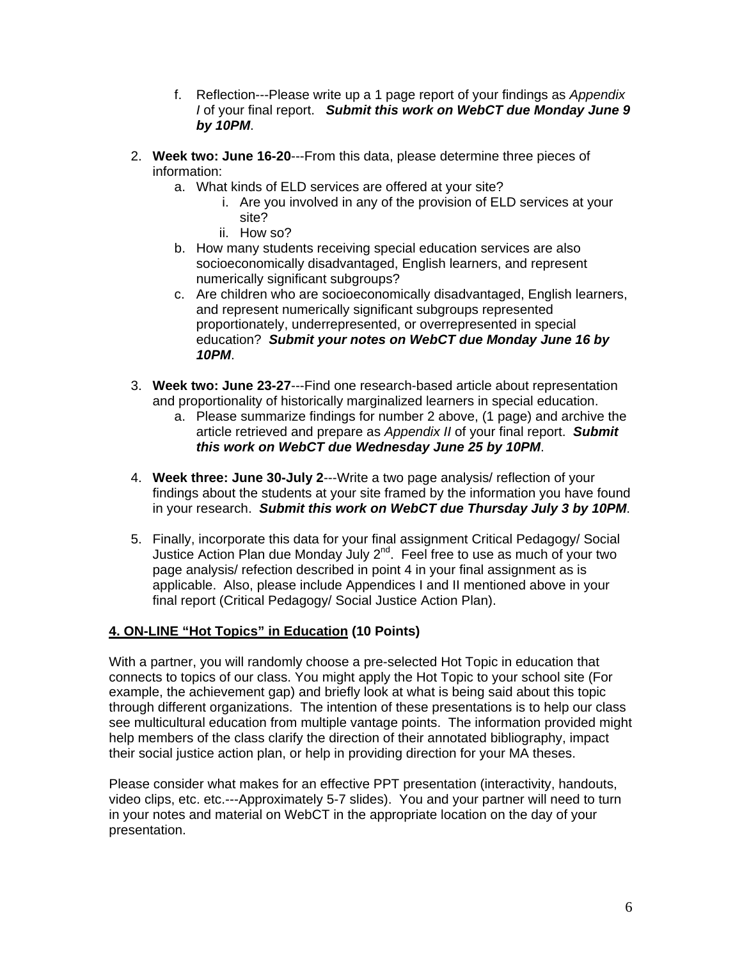- f. Reflection---Please write up a 1 page report of your findings as *Appendix I* of your final report. *Submit this work on WebCT due Monday June 9 by 10PM*.
- 2. **Week two: June 16-20**---From this data, please determine three pieces of information:
	- a. What kinds of ELD services are offered at your site?
		- i. Are you involved in any of the provision of ELD services at your site?
		- ii. How so?
	- b. How many students receiving special education services are also socioeconomically disadvantaged, English learners, and represent numerically significant subgroups?
	- c. Are children who are socioeconomically disadvantaged, English learners, and represent numerically significant subgroups represented proportionately, underrepresented, or overrepresented in special education? *Submit your notes on WebCT due Monday June 16 by 10PM*.
- 3. **Week two: June 23-27**---Find one research-based article about representation and proportionality of historically marginalized learners in special education.
	- a. Please summarize findings for number 2 above, (1 page) and archive the article retrieved and prepare as *Appendix II* of your final report. *Submit this work on WebCT due Wednesday June 25 by 10PM*.
- 4. **Week three: June 30-July 2**---Write a two page analysis/ reflection of your findings about the students at your site framed by the information you have found in your research. *Submit this work on WebCT due Thursday July 3 by 10PM*.
- 5. Finally, incorporate this data for your final assignment Critical Pedagogy/ Social Justice Action Plan due Monday July  $2^{nd}$ . Feel free to use as much of your two page analysis/ refection described in point 4 in your final assignment as is applicable. Also, please include Appendices I and II mentioned above in your final report (Critical Pedagogy/ Social Justice Action Plan).

## **4. ON-LINE "Hot Topics" in Education (10 Points)**

With a partner, you will randomly choose a pre-selected Hot Topic in education that connects to topics of our class. You might apply the Hot Topic to your school site (For example, the achievement gap) and briefly look at what is being said about this topic through different organizations. The intention of these presentations is to help our class see multicultural education from multiple vantage points. The information provided might help members of the class clarify the direction of their annotated bibliography, impact their social justice action plan, or help in providing direction for your MA theses.

Please consider what makes for an effective PPT presentation (interactivity, handouts, video clips, etc. etc.---Approximately 5-7 slides). You and your partner will need to turn in your notes and material on WebCT in the appropriate location on the day of your presentation.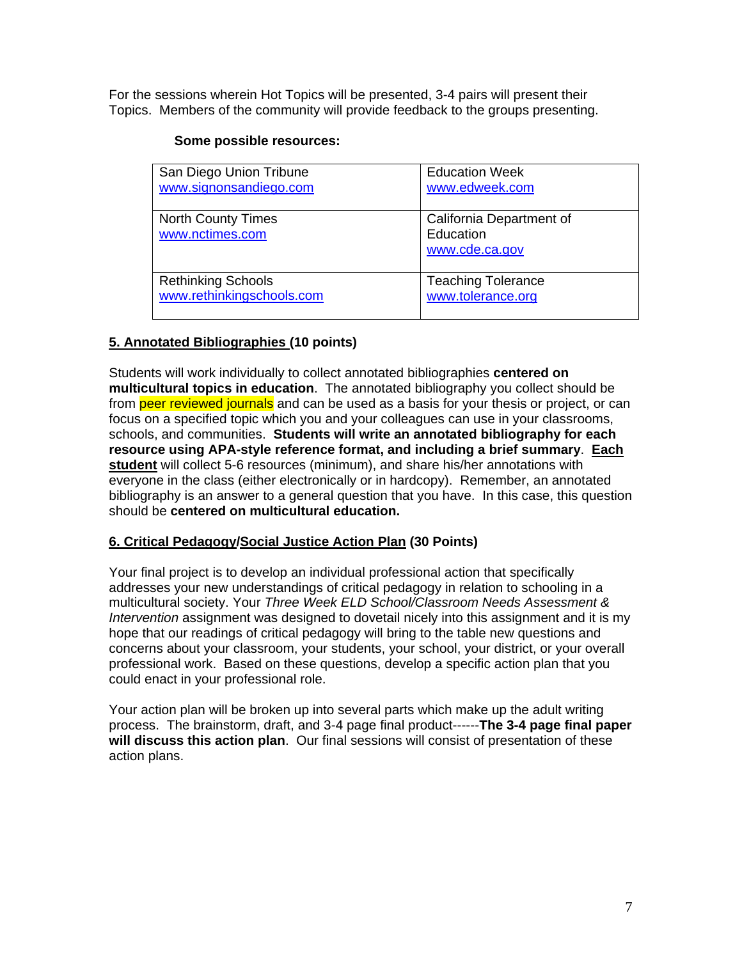For the sessions wherein Hot Topics will be presented, 3-4 pairs will present their Topics. Members of the community will provide feedback to the groups presenting.

### **Some possible resources:**

| San Diego Union Tribune                      | <b>Education Week</b>                                   |
|----------------------------------------------|---------------------------------------------------------|
| www.signonsandiego.com                       | www.edweek.com                                          |
| <b>North County Times</b><br>www.nctimes.com | California Department of<br>Education<br>www.cde.ca.gov |
| <b>Rethinking Schools</b>                    | <b>Teaching Tolerance</b>                               |
| www.rethinkingschools.com                    | www.tolerance.org                                       |

# **5. Annotated Bibliographies (10 points)**

Students will work individually to collect annotated bibliographies **centered on multicultural topics in education**. The annotated bibliography you collect should be from peer reviewed journals and can be used as a basis for your thesis or project, or can focus on a specified topic which you and your colleagues can use in your classrooms, schools, and communities. **Students will write an annotated bibliography for each resource using APA-style reference format, and including a brief summary**. **Each student** will collect 5-6 resources (minimum), and share his/her annotations with everyone in the class (either electronically or in hardcopy). Remember, an annotated bibliography is an answer to a general question that you have. In this case, this question should be **centered on multicultural education.** 

## **6. Critical Pedagogy/Social Justice Action Plan (30 Points)**

Your final project is to develop an individual professional action that specifically addresses your new understandings of critical pedagogy in relation to schooling in a multicultural society. Your *Three Week ELD School/Classroom Needs Assessment & Intervention* assignment was designed to dovetail nicely into this assignment and it is my hope that our readings of critical pedagogy will bring to the table new questions and concerns about your classroom, your students, your school, your district, or your overall professional work. Based on these questions, develop a specific action plan that you could enact in your professional role.

Your action plan will be broken up into several parts which make up the adult writing process. The brainstorm, draft, and 3-4 page final product------**The 3-4 page final paper will discuss this action plan**. Our final sessions will consist of presentation of these action plans.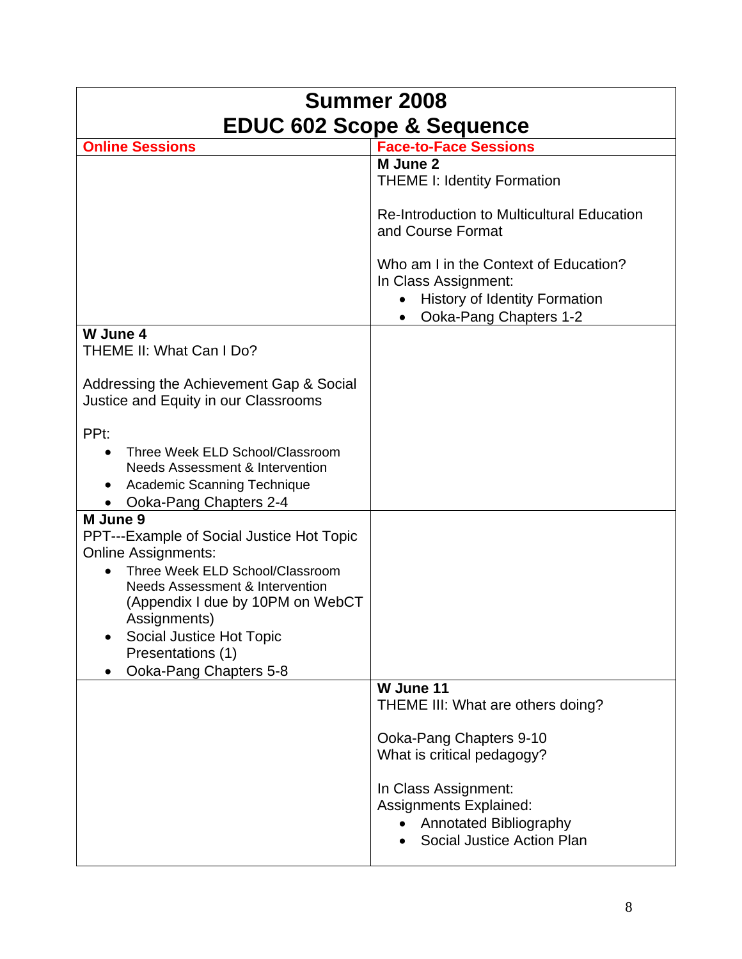| Summer 2008                                                                                                                                                                                                                                                                                    |                                                                                                                                                                                                                                 |  |  |  |
|------------------------------------------------------------------------------------------------------------------------------------------------------------------------------------------------------------------------------------------------------------------------------------------------|---------------------------------------------------------------------------------------------------------------------------------------------------------------------------------------------------------------------------------|--|--|--|
| <b>EDUC 602 Scope &amp; Sequence</b>                                                                                                                                                                                                                                                           |                                                                                                                                                                                                                                 |  |  |  |
| <b>Online Sessions</b>                                                                                                                                                                                                                                                                         | <b>Face-to-Face Sessions</b>                                                                                                                                                                                                    |  |  |  |
|                                                                                                                                                                                                                                                                                                | M June 2<br><b>THEME I: Identity Formation</b><br><b>Re-Introduction to Multicultural Education</b><br>and Course Format                                                                                                        |  |  |  |
|                                                                                                                                                                                                                                                                                                | Who am I in the Context of Education?<br>In Class Assignment:<br><b>History of Identity Formation</b><br>$\bullet$<br>Ooka-Pang Chapters 1-2                                                                                    |  |  |  |
| W June 4<br>THEME II: What Can I Do?                                                                                                                                                                                                                                                           |                                                                                                                                                                                                                                 |  |  |  |
| Addressing the Achievement Gap & Social<br>Justice and Equity in our Classrooms                                                                                                                                                                                                                |                                                                                                                                                                                                                                 |  |  |  |
| PP <sub>t</sub> :<br>Three Week ELD School/Classroom<br><b>Needs Assessment &amp; Intervention</b><br>Academic Scanning Technique<br>Ooka-Pang Chapters 2-4<br>M June 9                                                                                                                        |                                                                                                                                                                                                                                 |  |  |  |
| <b>PPT---Example of Social Justice Hot Topic</b><br><b>Online Assignments:</b><br>Three Week ELD School/Classroom<br><b>Needs Assessment &amp; Intervention</b><br>(Appendix I due by 10PM on WebCT<br>Assignments)<br>Social Justice Hot Topic<br>Presentations (1)<br>Ooka-Pang Chapters 5-8 |                                                                                                                                                                                                                                 |  |  |  |
|                                                                                                                                                                                                                                                                                                | W June 11<br>THEME III: What are others doing?<br>Ooka-Pang Chapters 9-10<br>What is critical pedagogy?<br>In Class Assignment:<br><b>Assignments Explained:</b><br><b>Annotated Bibliography</b><br>Social Justice Action Plan |  |  |  |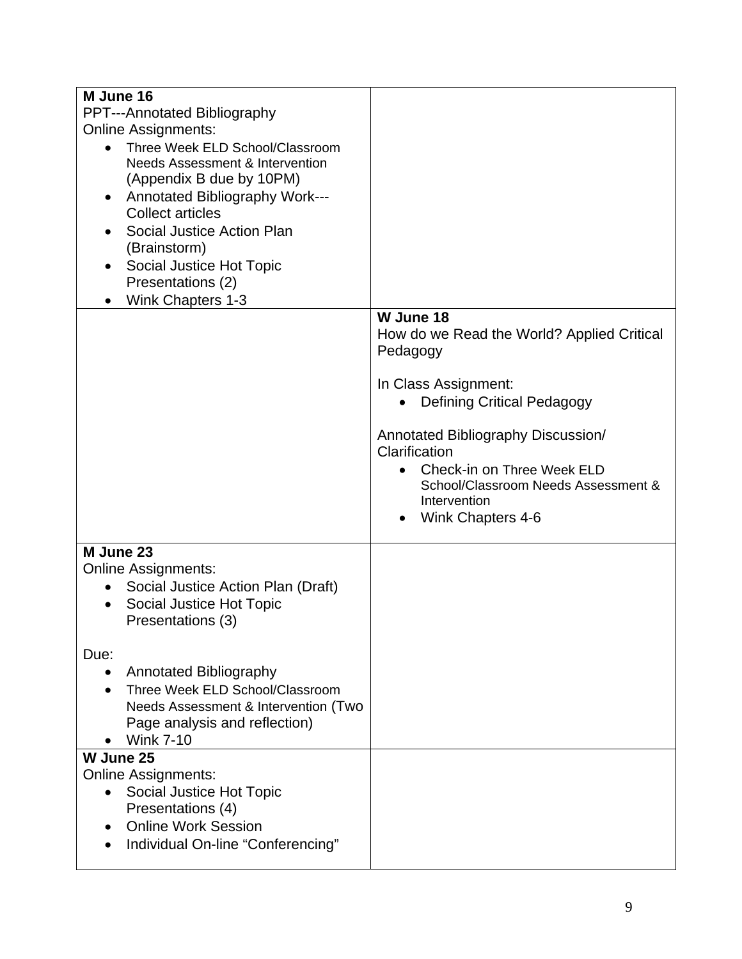| M June 16                                    |                                            |
|----------------------------------------------|--------------------------------------------|
| PPT---Annotated Bibliography                 |                                            |
| <b>Online Assignments:</b>                   |                                            |
| Three Week ELD School/Classroom<br>$\bullet$ |                                            |
| <b>Needs Assessment &amp; Intervention</b>   |                                            |
| (Appendix B due by 10PM)                     |                                            |
| Annotated Bibliography Work---               |                                            |
| <b>Collect articles</b>                      |                                            |
| Social Justice Action Plan                   |                                            |
| (Brainstorm)                                 |                                            |
| Social Justice Hot Topic                     |                                            |
| Presentations (2)                            |                                            |
| Wink Chapters 1-3                            | W June 18                                  |
|                                              | How do we Read the World? Applied Critical |
|                                              | Pedagogy                                   |
|                                              |                                            |
|                                              | In Class Assignment:                       |
|                                              | <b>Defining Critical Pedagogy</b>          |
|                                              |                                            |
|                                              | Annotated Bibliography Discussion/         |
|                                              | Clarification                              |
|                                              | Check-in on Three Week ELD                 |
|                                              | School/Classroom Needs Assessment &        |
|                                              | Intervention                               |
|                                              | Wink Chapters 4-6                          |
| M June 23                                    |                                            |
| <b>Online Assignments:</b>                   |                                            |
| Social Justice Action Plan (Draft)           |                                            |
| Social Justice Hot Topic<br>$\bullet$        |                                            |
| Presentations (3)                            |                                            |
|                                              |                                            |
| Due:                                         |                                            |
| Annotated Bibliography                       |                                            |
| Three Week ELD School/Classroom              |                                            |
| Needs Assessment & Intervention (Two         |                                            |
| Page analysis and reflection)                |                                            |
| <b>Wink 7-10</b>                             |                                            |
| W June 25                                    |                                            |
| <b>Online Assignments:</b>                   |                                            |
| Social Justice Hot Topic                     |                                            |
| Presentations (4)                            |                                            |
| <b>Online Work Session</b>                   |                                            |
| Individual On-line "Conferencing"            |                                            |
|                                              |                                            |